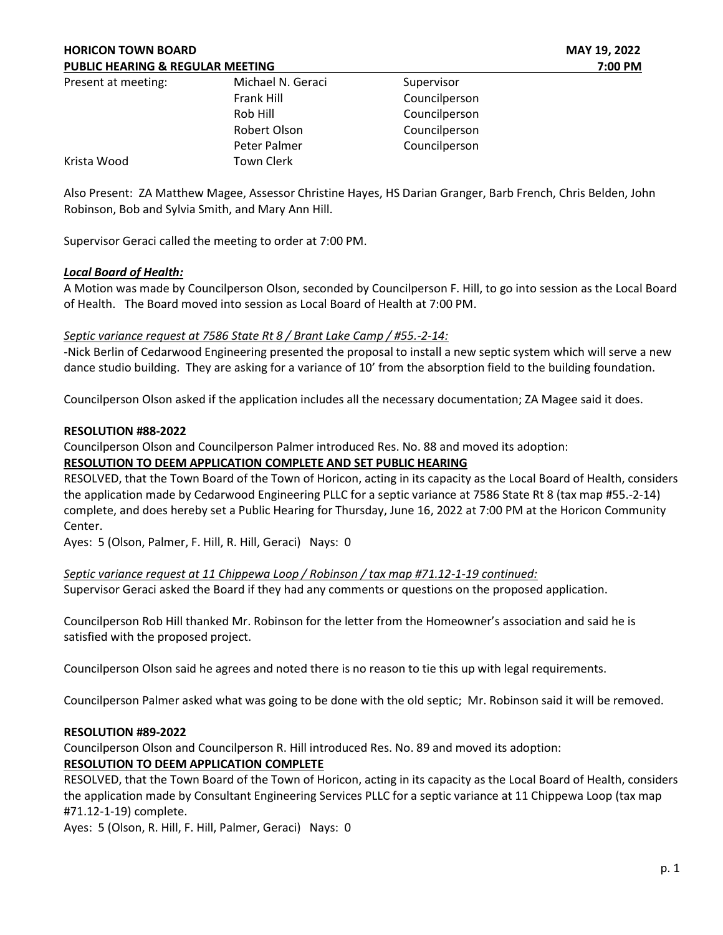| Present at meeting: | Michael N. Geraci | Supervisor    |
|---------------------|-------------------|---------------|
|                     | Frank Hill        | Councilperson |
|                     | Rob Hill          | Councilperson |
|                     | Robert Olson      | Councilperson |
|                     | Peter Palmer      | Councilperson |
| Krista Wood         | <b>Town Clerk</b> |               |

Also Present: ZA Matthew Magee, Assessor Christine Hayes, HS Darian Granger, Barb French, Chris Belden, John Robinson, Bob and Sylvia Smith, and Mary Ann Hill.

Supervisor Geraci called the meeting to order at 7:00 PM.

## Local Board of Health:

A Motion was made by Councilperson Olson, seconded by Councilperson F. Hill, to go into session as the Local Board of Health. The Board moved into session as Local Board of Health at 7:00 PM.

## Septic variance request at 7586 State Rt 8 / Brant Lake Camp / #55.-2-14:

-Nick Berlin of Cedarwood Engineering presented the proposal to install a new septic system which will serve a new dance studio building. They are asking for a variance of 10' from the absorption field to the building foundation.

Councilperson Olson asked if the application includes all the necessary documentation; ZA Magee said it does.

### RESOLUTION #88-2022

Councilperson Olson and Councilperson Palmer introduced Res. No. 88 and moved its adoption:

# RESOLUTION TO DEEM APPLICATION COMPLETE AND SET PUBLIC HEARING

RESOLVED, that the Town Board of the Town of Horicon, acting in its capacity as the Local Board of Health, considers the application made by Cedarwood Engineering PLLC for a septic variance at 7586 State Rt 8 (tax map #55.-2-14) complete, and does hereby set a Public Hearing for Thursday, June 16, 2022 at 7:00 PM at the Horicon Community Center.

Ayes: 5 (Olson, Palmer, F. Hill, R. Hill, Geraci) Nays: 0

Septic variance request at 11 Chippewa Loop / Robinson / tax map #71.12-1-19 continued:

Supervisor Geraci asked the Board if they had any comments or questions on the proposed application.

Councilperson Rob Hill thanked Mr. Robinson for the letter from the Homeowner's association and said he is satisfied with the proposed project.

Councilperson Olson said he agrees and noted there is no reason to tie this up with legal requirements.

Councilperson Palmer asked what was going to be done with the old septic; Mr. Robinson said it will be removed.

### RESOLUTION #89-2022

Councilperson Olson and Councilperson R. Hill introduced Res. No. 89 and moved its adoption:

# RESOLUTION TO DEEM APPLICATION COMPLETE

RESOLVED, that the Town Board of the Town of Horicon, acting in its capacity as the Local Board of Health, considers the application made by Consultant Engineering Services PLLC for a septic variance at 11 Chippewa Loop (tax map #71.12-1-19) complete.

Ayes: 5 (Olson, R. Hill, F. Hill, Palmer, Geraci) Nays: 0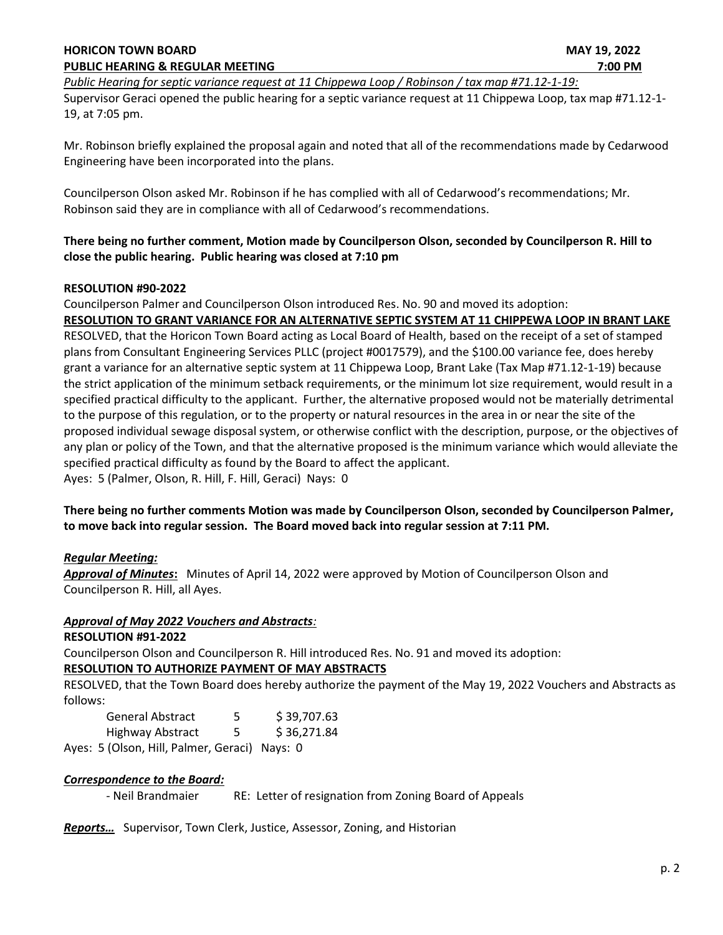### HORICON TOWN BOARD **MAY 19, 2022** PUBLIC HEARING & REGULAR MEETING **7:00 PM** 7:00 PM

Public Hearing for septic variance request at 11 Chippewa Loop / Robinson / tax map #71.12-1-19:

Supervisor Geraci opened the public hearing for a septic variance request at 11 Chippewa Loop, tax map #71.12-1- 19, at 7:05 pm.

Mr. Robinson briefly explained the proposal again and noted that all of the recommendations made by Cedarwood Engineering have been incorporated into the plans.

Councilperson Olson asked Mr. Robinson if he has complied with all of Cedarwood's recommendations; Mr. Robinson said they are in compliance with all of Cedarwood's recommendations.

# There being no further comment, Motion made by Councilperson Olson, seconded by Councilperson R. Hill to close the public hearing. Public hearing was closed at 7:10 pm

# RESOLUTION #90-2022

Councilperson Palmer and Councilperson Olson introduced Res. No. 90 and moved its adoption: RESOLUTION TO GRANT VARIANCE FOR AN ALTERNATIVE SEPTIC SYSTEM AT 11 CHIPPEWA LOOP IN BRANT LAKE

RESOLVED, that the Horicon Town Board acting as Local Board of Health, based on the receipt of a set of stamped plans from Consultant Engineering Services PLLC (project #0017579), and the \$100.00 variance fee, does hereby grant a variance for an alternative septic system at 11 Chippewa Loop, Brant Lake (Tax Map #71.12-1-19) because the strict application of the minimum setback requirements, or the minimum lot size requirement, would result in a specified practical difficulty to the applicant. Further, the alternative proposed would not be materially detrimental to the purpose of this regulation, or to the property or natural resources in the area in or near the site of the proposed individual sewage disposal system, or otherwise conflict with the description, purpose, or the objectives of any plan or policy of the Town, and that the alternative proposed is the minimum variance which would alleviate the specified practical difficulty as found by the Board to affect the applicant. Ayes: 5 (Palmer, Olson, R. Hill, F. Hill, Geraci) Nays: 0

There being no further comments Motion was made by Councilperson Olson, seconded by Councilperson Palmer, to move back into regular session. The Board moved back into regular session at 7:11 PM.

# Regular Meeting:

Approval of Minutes: Minutes of April 14, 2022 were approved by Motion of Councilperson Olson and Councilperson R. Hill, all Ayes.

### Approval of May 2022 Vouchers and Abstracts:

### RESOLUTION #91-2022

Councilperson Olson and Councilperson R. Hill introduced Res. No. 91 and moved its adoption:

### RESOLUTION TO AUTHORIZE PAYMENT OF MAY ABSTRACTS

RESOLVED, that the Town Board does hereby authorize the payment of the May 19, 2022 Vouchers and Abstracts as follows:

| <b>General Abstract</b> | 5 | \$39,707.63 |
|-------------------------|---|-------------|
| Highway Abstract        | 5 | \$36,271.84 |
|                         |   |             |

Ayes: 5 (Olson, Hill, Palmer, Geraci) Nays: 0

### Correspondence to the Board:

- Neil Brandmaier RE: Letter of resignation from Zoning Board of Appeals

Reports... Supervisor, Town Clerk, Justice, Assessor, Zoning, and Historian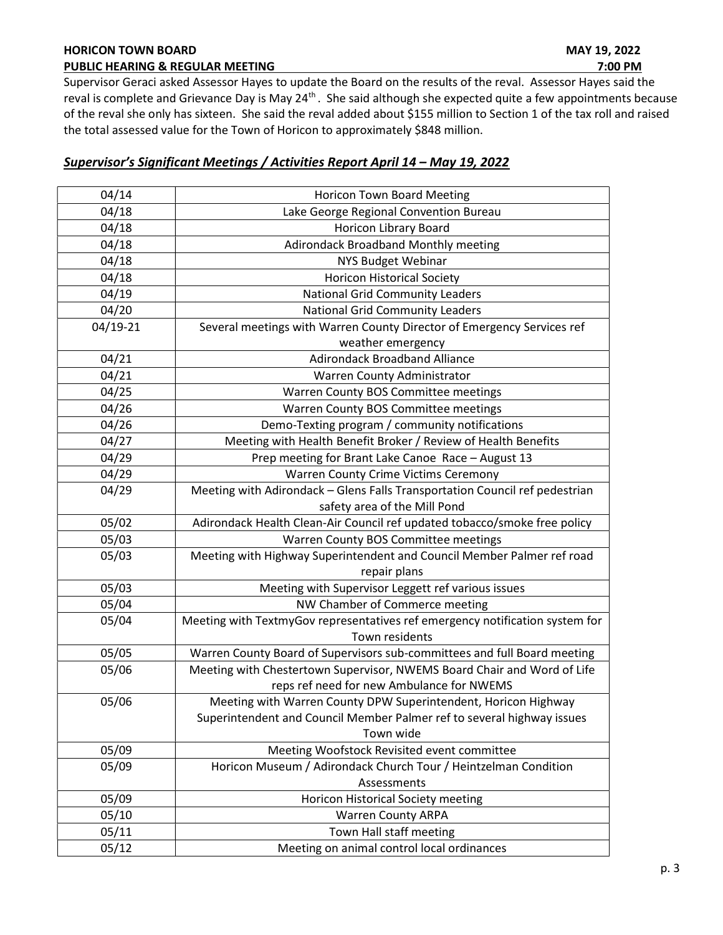# HORICON TOWN BOARD **MAY 19, 2022**

Supervisor Geraci asked Assessor Hayes to update the Board on the results of the reval. Assessor Hayes said the reval is complete and Grievance Day is May 24<sup>th</sup>. She said although she expected quite a few appointments because of the reval she only has sixteen. She said the reval added about \$155 million to Section 1 of the tax roll and raised the total assessed value for the Town of Horicon to approximately \$848 million.

# Supervisor's Significant Meetings / Activities Report April 14 – May 19, 2022

| 04/14    | Horicon Town Board Meeting                                                   |  |  |  |
|----------|------------------------------------------------------------------------------|--|--|--|
| 04/18    | Lake George Regional Convention Bureau                                       |  |  |  |
| 04/18    | <b>Horicon Library Board</b>                                                 |  |  |  |
| 04/18    | Adirondack Broadband Monthly meeting                                         |  |  |  |
| 04/18    | <b>NYS Budget Webinar</b>                                                    |  |  |  |
| 04/18    | <b>Horicon Historical Society</b>                                            |  |  |  |
| 04/19    | <b>National Grid Community Leaders</b>                                       |  |  |  |
| 04/20    | <b>National Grid Community Leaders</b>                                       |  |  |  |
| 04/19-21 | Several meetings with Warren County Director of Emergency Services ref       |  |  |  |
|          | weather emergency                                                            |  |  |  |
| 04/21    | <b>Adirondack Broadband Alliance</b>                                         |  |  |  |
| 04/21    | Warren County Administrator                                                  |  |  |  |
| 04/25    | Warren County BOS Committee meetings                                         |  |  |  |
| 04/26    | Warren County BOS Committee meetings                                         |  |  |  |
| 04/26    | Demo-Texting program / community notifications                               |  |  |  |
| 04/27    | Meeting with Health Benefit Broker / Review of Health Benefits               |  |  |  |
| 04/29    | Prep meeting for Brant Lake Canoe Race - August 13                           |  |  |  |
| 04/29    | <b>Warren County Crime Victims Ceremony</b>                                  |  |  |  |
| 04/29    | Meeting with Adirondack - Glens Falls Transportation Council ref pedestrian  |  |  |  |
|          | safety area of the Mill Pond                                                 |  |  |  |
| 05/02    | Adirondack Health Clean-Air Council ref updated tobacco/smoke free policy    |  |  |  |
| 05/03    | Warren County BOS Committee meetings                                         |  |  |  |
| 05/03    | Meeting with Highway Superintendent and Council Member Palmer ref road       |  |  |  |
|          | repair plans                                                                 |  |  |  |
| 05/03    | Meeting with Supervisor Leggett ref various issues                           |  |  |  |
| 05/04    | NW Chamber of Commerce meeting                                               |  |  |  |
| 05/04    | Meeting with TextmyGov representatives ref emergency notification system for |  |  |  |
|          | Town residents                                                               |  |  |  |
| 05/05    | Warren County Board of Supervisors sub-committees and full Board meeting     |  |  |  |
| 05/06    | Meeting with Chestertown Supervisor, NWEMS Board Chair and Word of Life      |  |  |  |
|          | reps ref need for new Ambulance for NWEMS                                    |  |  |  |
| 05/06    | Meeting with Warren County DPW Superintendent, Horicon Highway               |  |  |  |
|          | Superintendent and Council Member Palmer ref to several highway issues       |  |  |  |
|          | Town wide                                                                    |  |  |  |
| 05/09    | Meeting Woofstock Revisited event committee                                  |  |  |  |
| 05/09    | Horicon Museum / Adirondack Church Tour / Heintzelman Condition              |  |  |  |
|          | Assessments                                                                  |  |  |  |
| 05/09    | <b>Horicon Historical Society meeting</b>                                    |  |  |  |
| 05/10    | Warren County ARPA                                                           |  |  |  |
| 05/11    | Town Hall staff meeting                                                      |  |  |  |
| 05/12    | Meeting on animal control local ordinances                                   |  |  |  |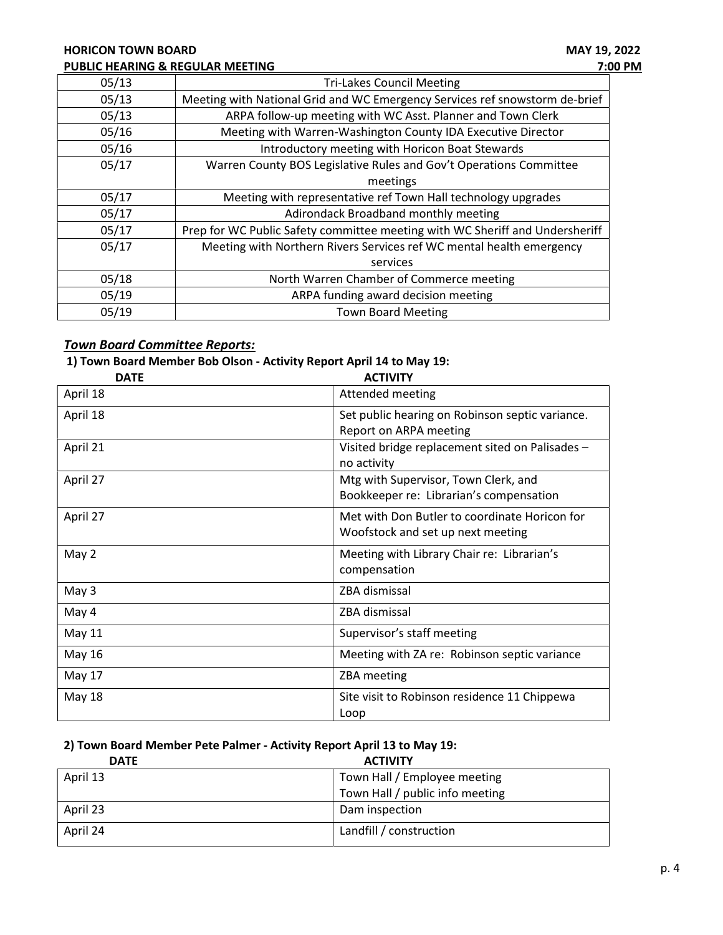# HORICON TOWN BOARD MAY 19, 2022 PUBLIC HEARING & REGULAR MEETING **PUBLIC HEARING & REGULAR MEETING**

| 05/13 | <b>Tri-Lakes Council Meeting</b>                                             |
|-------|------------------------------------------------------------------------------|
| 05/13 | Meeting with National Grid and WC Emergency Services ref snowstorm de-brief  |
| 05/13 | ARPA follow-up meeting with WC Asst. Planner and Town Clerk                  |
| 05/16 | Meeting with Warren-Washington County IDA Executive Director                 |
| 05/16 | Introductory meeting with Horicon Boat Stewards                              |
| 05/17 | Warren County BOS Legislative Rules and Gov't Operations Committee           |
|       | meetings                                                                     |
| 05/17 | Meeting with representative ref Town Hall technology upgrades                |
| 05/17 | Adirondack Broadband monthly meeting                                         |
| 05/17 | Prep for WC Public Safety committee meeting with WC Sheriff and Undersheriff |
| 05/17 | Meeting with Northern Rivers Services ref WC mental health emergency         |
|       | services                                                                     |
| 05/18 | North Warren Chamber of Commerce meeting                                     |
| 05/19 | ARPA funding award decision meeting                                          |
| 05/19 | <b>Town Board Meeting</b>                                                    |

# **Town Board Committee Reports:**

# 1) Town Board Member Bob Olson - Activity Report April 14 to May 19:

| <b>DATE</b>   | <b>ACTIVITY</b>                                 |
|---------------|-------------------------------------------------|
| April 18      | Attended meeting                                |
| April 18      | Set public hearing on Robinson septic variance. |
|               | Report on ARPA meeting                          |
| April 21      | Visited bridge replacement sited on Palisades - |
|               | no activity                                     |
| April 27      | Mtg with Supervisor, Town Clerk, and            |
|               | Bookkeeper re: Librarian's compensation         |
| April 27      | Met with Don Butler to coordinate Horicon for   |
|               | Woofstock and set up next meeting               |
| May 2         | Meeting with Library Chair re: Librarian's      |
|               | compensation                                    |
| May 3         | ZBA dismissal                                   |
| May 4         | ZBA dismissal                                   |
| <b>May 11</b> | Supervisor's staff meeting                      |
| May 16        | Meeting with ZA re: Robinson septic variance    |
| May 17        | ZBA meeting                                     |
| May 18        | Site visit to Robinson residence 11 Chippewa    |
|               | Loop                                            |

# 2) Town Board Member Pete Palmer - Activity Report April 13 to May 19:

| <b>DATE</b> | <b>ACTIVITY</b>                 |
|-------------|---------------------------------|
| April 13    | Town Hall / Employee meeting    |
|             | Town Hall / public info meeting |
| April 23    | Dam inspection                  |
| April 24    | Landfill / construction         |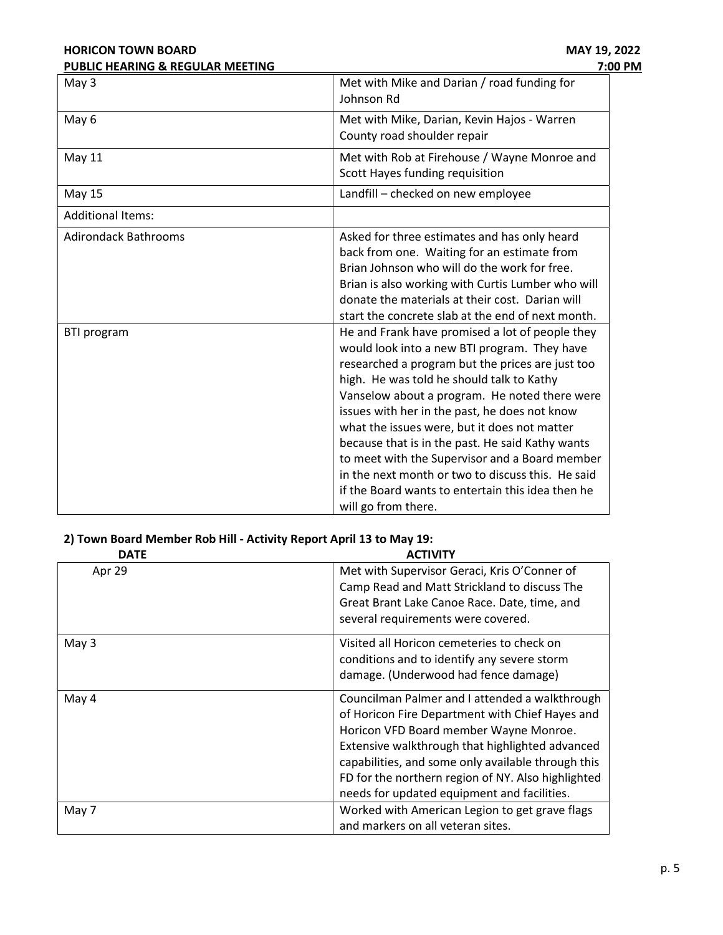| <b>HORICON TOWN BOARD</b>        | MAY 19, 2022                                                                                                                                                                                                                                                                                                                                                                                                                                                                                                                                                                              |  |
|----------------------------------|-------------------------------------------------------------------------------------------------------------------------------------------------------------------------------------------------------------------------------------------------------------------------------------------------------------------------------------------------------------------------------------------------------------------------------------------------------------------------------------------------------------------------------------------------------------------------------------------|--|
| PUBLIC HEARING & REGULAR MEETING | 7:00 PM                                                                                                                                                                                                                                                                                                                                                                                                                                                                                                                                                                                   |  |
| May 3                            | Met with Mike and Darian / road funding for<br>Johnson Rd                                                                                                                                                                                                                                                                                                                                                                                                                                                                                                                                 |  |
| May 6                            | Met with Mike, Darian, Kevin Hajos - Warren<br>County road shoulder repair                                                                                                                                                                                                                                                                                                                                                                                                                                                                                                                |  |
| <b>May 11</b>                    | Met with Rob at Firehouse / Wayne Monroe and<br>Scott Hayes funding requisition                                                                                                                                                                                                                                                                                                                                                                                                                                                                                                           |  |
| <b>May 15</b>                    | Landfill - checked on new employee                                                                                                                                                                                                                                                                                                                                                                                                                                                                                                                                                        |  |
| <b>Additional Items:</b>         |                                                                                                                                                                                                                                                                                                                                                                                                                                                                                                                                                                                           |  |
| <b>Adirondack Bathrooms</b>      | Asked for three estimates and has only heard<br>back from one. Waiting for an estimate from<br>Brian Johnson who will do the work for free.<br>Brian is also working with Curtis Lumber who will<br>donate the materials at their cost. Darian will<br>start the concrete slab at the end of next month.                                                                                                                                                                                                                                                                                  |  |
| <b>BTI</b> program               | He and Frank have promised a lot of people they<br>would look into a new BTI program. They have<br>researched a program but the prices are just too<br>high. He was told he should talk to Kathy<br>Vanselow about a program. He noted there were<br>issues with her in the past, he does not know<br>what the issues were, but it does not matter<br>because that is in the past. He said Kathy wants<br>to meet with the Supervisor and a Board member<br>in the next month or two to discuss this. He said<br>if the Board wants to entertain this idea then he<br>will go from there. |  |

# 2) Town Board Member Rob Hill - Activity Report April 13 to May 19:

| <b>DATE</b> | <b>ACTIVITY</b>                                                                                                                                                                                                                                                                                                                                           |
|-------------|-----------------------------------------------------------------------------------------------------------------------------------------------------------------------------------------------------------------------------------------------------------------------------------------------------------------------------------------------------------|
| Apr 29      | Met with Supervisor Geraci, Kris O'Conner of<br>Camp Read and Matt Strickland to discuss The<br>Great Brant Lake Canoe Race. Date, time, and<br>several requirements were covered.                                                                                                                                                                        |
| May 3       | Visited all Horicon cemeteries to check on<br>conditions and to identify any severe storm<br>damage. (Underwood had fence damage)                                                                                                                                                                                                                         |
| May 4       | Councilman Palmer and I attended a walkthrough<br>of Horicon Fire Department with Chief Hayes and<br>Horicon VFD Board member Wayne Monroe.<br>Extensive walkthrough that highlighted advanced<br>capabilities, and some only available through this<br>FD for the northern region of NY. Also highlighted<br>needs for updated equipment and facilities. |
| May 7       | Worked with American Legion to get grave flags<br>and markers on all veteran sites.                                                                                                                                                                                                                                                                       |
|             |                                                                                                                                                                                                                                                                                                                                                           |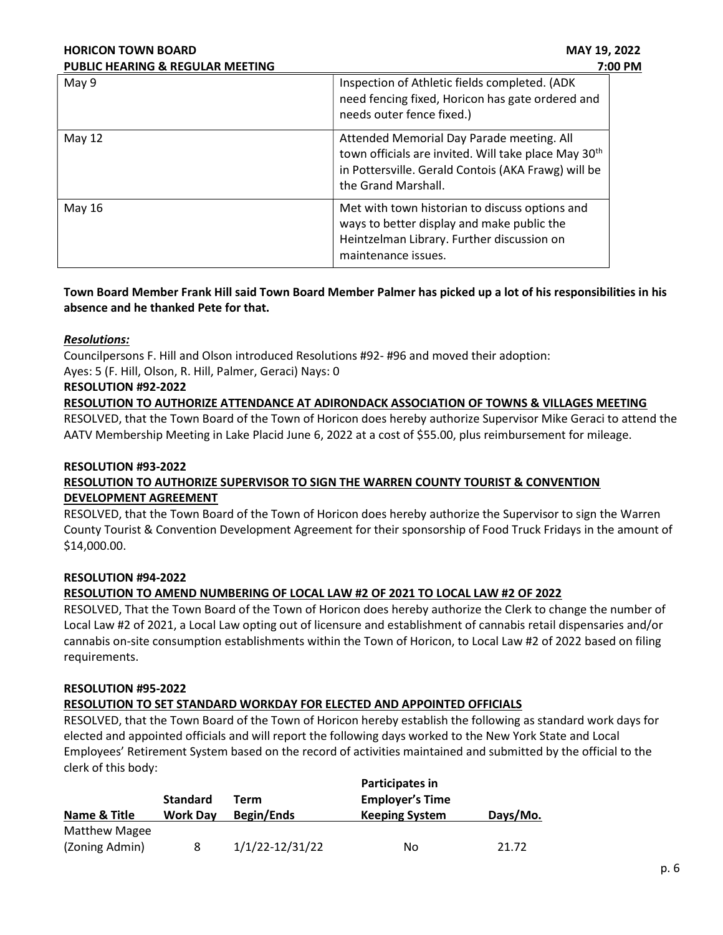| <b>HORICON TOWN BOARD</b>                   | MAY 19, 2022<br>7:00 PM                                                                                                                                                                     |  |  |
|---------------------------------------------|---------------------------------------------------------------------------------------------------------------------------------------------------------------------------------------------|--|--|
| <b>PUBLIC HEARING &amp; REGULAR MEETING</b> |                                                                                                                                                                                             |  |  |
| May 9                                       | Inspection of Athletic fields completed. (ADK<br>need fencing fixed, Horicon has gate ordered and<br>needs outer fence fixed.)                                                              |  |  |
| May $12$                                    | Attended Memorial Day Parade meeting. All<br>town officials are invited. Will take place May 30 <sup>th</sup><br>in Pottersville. Gerald Contois (AKA Frawg) will be<br>the Grand Marshall. |  |  |
| May 16                                      | Met with town historian to discuss options and<br>ways to better display and make public the<br>Heintzelman Library. Further discussion on<br>maintenance issues.                           |  |  |

# Town Board Member Frank Hill said Town Board Member Palmer has picked up a lot of his responsibilities in his absence and he thanked Pete for that.

# Resolutions:

Councilpersons F. Hill and Olson introduced Resolutions #92- #96 and moved their adoption: Ayes: 5 (F. Hill, Olson, R. Hill, Palmer, Geraci) Nays: 0

# RESOLUTION #92-2022

RESOLUTION TO AUTHORIZE ATTENDANCE AT ADIRONDACK ASSOCIATION OF TOWNS & VILLAGES MEETING

RESOLVED, that the Town Board of the Town of Horicon does hereby authorize Supervisor Mike Geraci to attend the AATV Membership Meeting in Lake Placid June 6, 2022 at a cost of \$55.00, plus reimbursement for mileage.

# RESOLUTION #93-2022 RESOLUTION TO AUTHORIZE SUPERVISOR TO SIGN THE WARREN COUNTY TOURIST & CONVENTION DEVELOPMENT AGREEMENT

RESOLVED, that the Town Board of the Town of Horicon does hereby authorize the Supervisor to sign the Warren County Tourist & Convention Development Agreement for their sponsorship of Food Truck Fridays in the amount of \$14,000.00.

# RESOLUTION #94-2022

# RESOLUTION TO AMEND NUMBERING OF LOCAL LAW #2 OF 2021 TO LOCAL LAW #2 OF 2022

RESOLVED, That the Town Board of the Town of Horicon does hereby authorize the Clerk to change the number of Local Law #2 of 2021, a Local Law opting out of licensure and establishment of cannabis retail dispensaries and/or cannabis on-site consumption establishments within the Town of Horicon, to Local Law #2 of 2022 based on filing requirements.

# RESOLUTION #95-2022

# RESOLUTION TO SET STANDARD WORKDAY FOR ELECTED AND APPOINTED OFFICIALS

RESOLVED, that the Town Board of the Town of Horicon hereby establish the following as standard work days for elected and appointed officials and will report the following days worked to the New York State and Local Employees' Retirement System based on the record of activities maintained and submitted by the official to the clerk of this body:

|                      |                 |                   | Participates in        |          |  |
|----------------------|-----------------|-------------------|------------------------|----------|--|
|                      | <b>Standard</b> | Term              | <b>Employer's Time</b> |          |  |
| Name & Title         | <b>Work Day</b> | <b>Begin/Ends</b> | <b>Keeping System</b>  | Days/Mo. |  |
| <b>Matthew Magee</b> |                 |                   |                        |          |  |
| (Zoning Admin)       |                 | 1/1/22-12/31/22   | No                     | 21.72    |  |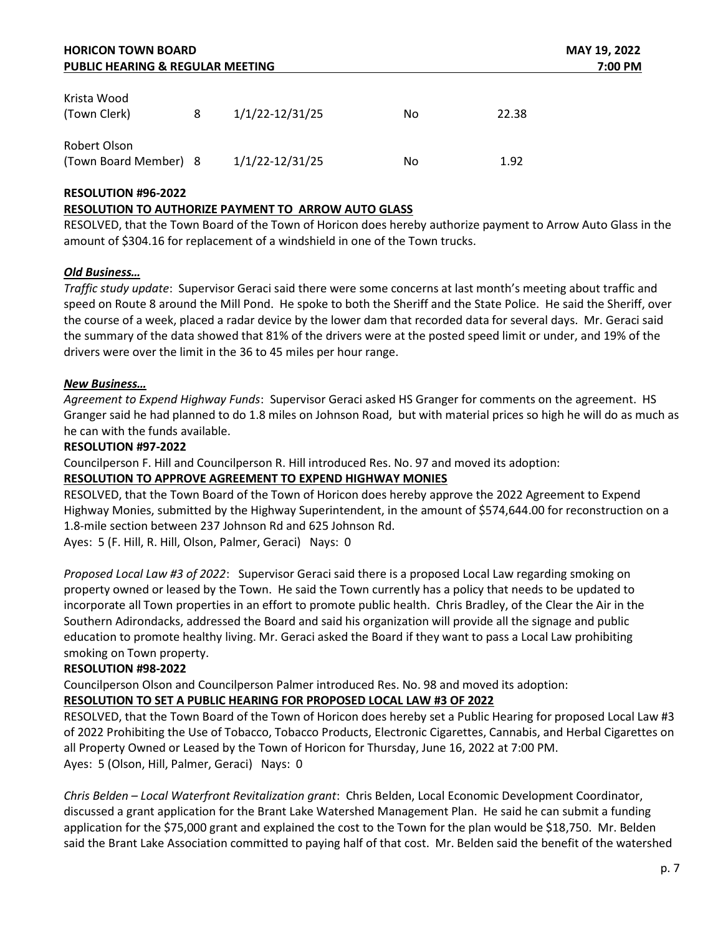| <b>HORICON TOWN BOARD</b><br><b>PUBLIC HEARING &amp; REGULAR MEETING</b> |   |                 |    | MAY 19, 2022<br>7:00 PM |
|--------------------------------------------------------------------------|---|-----------------|----|-------------------------|
| Krista Wood<br>(Town Clerk)                                              | 8 | 1/1/22-12/31/25 | No | 22.38                   |
| Robert Olson<br>(Town Board Member) 8                                    |   | 1/1/22-12/31/25 | No | 1.92                    |

# RESOLUTION #96-2022

# RESOLUTION TO AUTHORIZE PAYMENT TO ARROW AUTO GLASS

RESOLVED, that the Town Board of the Town of Horicon does hereby authorize payment to Arrow Auto Glass in the amount of \$304.16 for replacement of a windshield in one of the Town trucks.

## Old Business…

Traffic study update: Supervisor Geraci said there were some concerns at last month's meeting about traffic and speed on Route 8 around the Mill Pond. He spoke to both the Sheriff and the State Police. He said the Sheriff, over the course of a week, placed a radar device by the lower dam that recorded data for several days. Mr. Geraci said the summary of the data showed that 81% of the drivers were at the posted speed limit or under, and 19% of the drivers were over the limit in the 36 to 45 miles per hour range.

## New Business…

Agreement to Expend Highway Funds: Supervisor Geraci asked HS Granger for comments on the agreement. HS Granger said he had planned to do 1.8 miles on Johnson Road, but with material prices so high he will do as much as he can with the funds available.

## RESOLUTION #97-2022

Councilperson F. Hill and Councilperson R. Hill introduced Res. No. 97 and moved its adoption:

# RESOLUTION TO APPROVE AGREEMENT TO EXPEND HIGHWAY MONIES

RESOLVED, that the Town Board of the Town of Horicon does hereby approve the 2022 Agreement to Expend Highway Monies, submitted by the Highway Superintendent, in the amount of \$574,644.00 for reconstruction on a 1.8-mile section between 237 Johnson Rd and 625 Johnson Rd.

Ayes: 5 (F. Hill, R. Hill, Olson, Palmer, Geraci) Nays: 0

Proposed Local Law #3 of 2022: Supervisor Geraci said there is a proposed Local Law regarding smoking on property owned or leased by the Town. He said the Town currently has a policy that needs to be updated to incorporate all Town properties in an effort to promote public health. Chris Bradley, of the Clear the Air in the Southern Adirondacks, addressed the Board and said his organization will provide all the signage and public education to promote healthy living. Mr. Geraci asked the Board if they want to pass a Local Law prohibiting smoking on Town property.

# RESOLUTION #98-2022

Councilperson Olson and Councilperson Palmer introduced Res. No. 98 and moved its adoption: RESOLUTION TO SET A PUBLIC HEARING FOR PROPOSED LOCAL LAW #3 OF 2022

RESOLVED, that the Town Board of the Town of Horicon does hereby set a Public Hearing for proposed Local Law #3 of 2022 Prohibiting the Use of Tobacco, Tobacco Products, Electronic Cigarettes, Cannabis, and Herbal Cigarettes on all Property Owned or Leased by the Town of Horicon for Thursday, June 16, 2022 at 7:00 PM. Ayes: 5 (Olson, Hill, Palmer, Geraci) Nays: 0

Chris Belden – Local Waterfront Revitalization grant: Chris Belden, Local Economic Development Coordinator, discussed a grant application for the Brant Lake Watershed Management Plan. He said he can submit a funding application for the \$75,000 grant and explained the cost to the Town for the plan would be \$18,750. Mr. Belden said the Brant Lake Association committed to paying half of that cost. Mr. Belden said the benefit of the watershed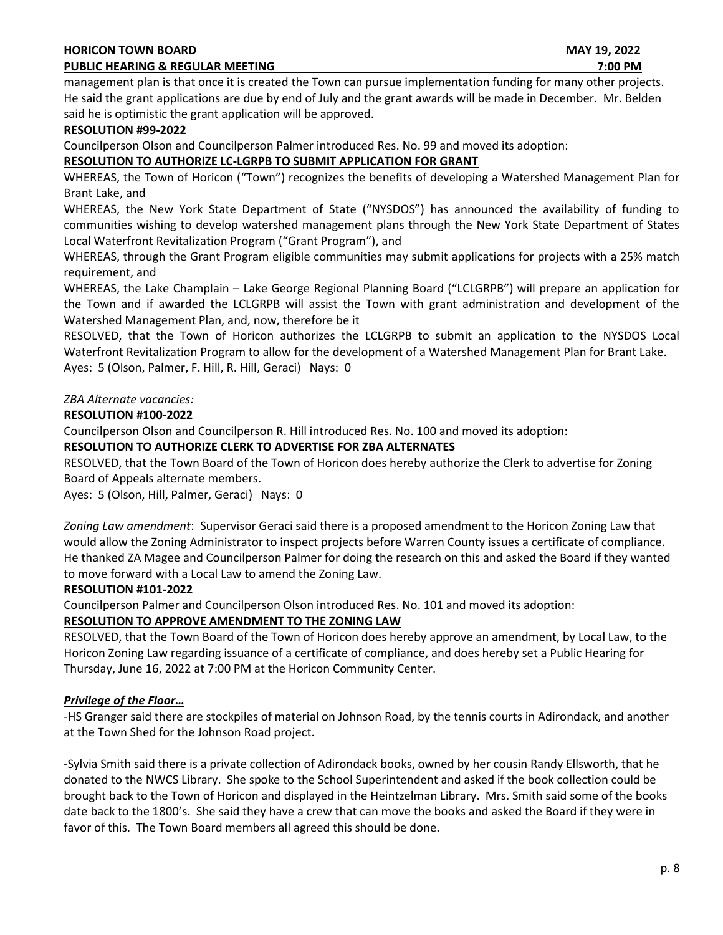## HORICON TOWN BOARD **MAY 19, 2022**

# PUBLIC HEARING & REGULAR MEETING **7:00 PM** 7:00 PM

management plan is that once it is created the Town can pursue implementation funding for many other projects. He said the grant applications are due by end of July and the grant awards will be made in December. Mr. Belden said he is optimistic the grant application will be approved.

## RESOLUTION #99-2022

Councilperson Olson and Councilperson Palmer introduced Res. No. 99 and moved its adoption:

# RESOLUTION TO AUTHORIZE LC-LGRPB TO SUBMIT APPLICATION FOR GRANT

WHEREAS, the Town of Horicon ("Town") recognizes the benefits of developing a Watershed Management Plan for Brant Lake, and

WHEREAS, the New York State Department of State ("NYSDOS") has announced the availability of funding to communities wishing to develop watershed management plans through the New York State Department of States Local Waterfront Revitalization Program ("Grant Program"), and

WHEREAS, through the Grant Program eligible communities may submit applications for projects with a 25% match requirement, and

WHEREAS, the Lake Champlain – Lake George Regional Planning Board ("LCLGRPB") will prepare an application for the Town and if awarded the LCLGRPB will assist the Town with grant administration and development of the Watershed Management Plan, and, now, therefore be it

RESOLVED, that the Town of Horicon authorizes the LCLGRPB to submit an application to the NYSDOS Local Waterfront Revitalization Program to allow for the development of a Watershed Management Plan for Brant Lake. Ayes: 5 (Olson, Palmer, F. Hill, R. Hill, Geraci) Nays: 0

# ZBA Alternate vacancies:

# RESOLUTION #100-2022

Councilperson Olson and Councilperson R. Hill introduced Res. No. 100 and moved its adoption:

# RESOLUTION TO AUTHORIZE CLERK TO ADVERTISE FOR ZBA ALTERNATES

RESOLVED, that the Town Board of the Town of Horicon does hereby authorize the Clerk to advertise for Zoning Board of Appeals alternate members.

Ayes: 5 (Olson, Hill, Palmer, Geraci) Nays: 0

Zoning Law amendment: Supervisor Geraci said there is a proposed amendment to the Horicon Zoning Law that would allow the Zoning Administrator to inspect projects before Warren County issues a certificate of compliance. He thanked ZA Magee and Councilperson Palmer for doing the research on this and asked the Board if they wanted to move forward with a Local Law to amend the Zoning Law.

# RESOLUTION #101-2022

Councilperson Palmer and Councilperson Olson introduced Res. No. 101 and moved its adoption:

# RESOLUTION TO APPROVE AMENDMENT TO THE ZONING LAW

RESOLVED, that the Town Board of the Town of Horicon does hereby approve an amendment, by Local Law, to the Horicon Zoning Law regarding issuance of a certificate of compliance, and does hereby set a Public Hearing for Thursday, June 16, 2022 at 7:00 PM at the Horicon Community Center.

# Privilege of the Floor…

-HS Granger said there are stockpiles of material on Johnson Road, by the tennis courts in Adirondack, and another at the Town Shed for the Johnson Road project.

-Sylvia Smith said there is a private collection of Adirondack books, owned by her cousin Randy Ellsworth, that he donated to the NWCS Library. She spoke to the School Superintendent and asked if the book collection could be brought back to the Town of Horicon and displayed in the Heintzelman Library. Mrs. Smith said some of the books date back to the 1800's. She said they have a crew that can move the books and asked the Board if they were in favor of this. The Town Board members all agreed this should be done.